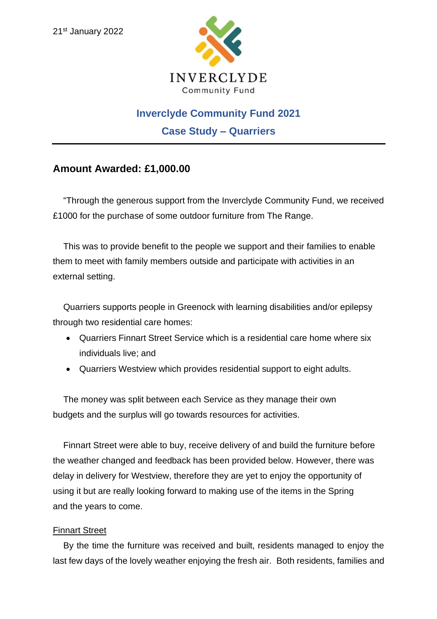

# **Inverclyde Community Fund 2021**

**Case Study – Quarriers**

# **Amount Awarded: £1,000.00**

"Through the generous support from the Inverclyde Community Fund, we received £1000 for the purchase of some outdoor furniture from The Range.

This was to provide benefit to the people we support and their families to enable them to meet with family members outside and participate with activities in an external setting.

Quarriers supports people in Greenock with learning disabilities and/or epilepsy through two residential care homes:

- Quarriers Finnart Street Service which is a residential care home where six individuals live; and
- Quarriers Westview which provides residential support to eight adults.

The money was split between each Service as they manage their own budgets and the surplus will go towards resources for activities.

Finnart Street were able to buy, receive delivery of and build the furniture before the weather changed and feedback has been provided below. However, there was delay in delivery for Westview, therefore they are yet to enjoy the opportunity of using it but are really looking forward to making use of the items in the Spring and the years to come.

### Finnart Street

By the time the furniture was received and built, residents managed to enjoy the last few days of the lovely weather enjoying the fresh air. Both residents, families and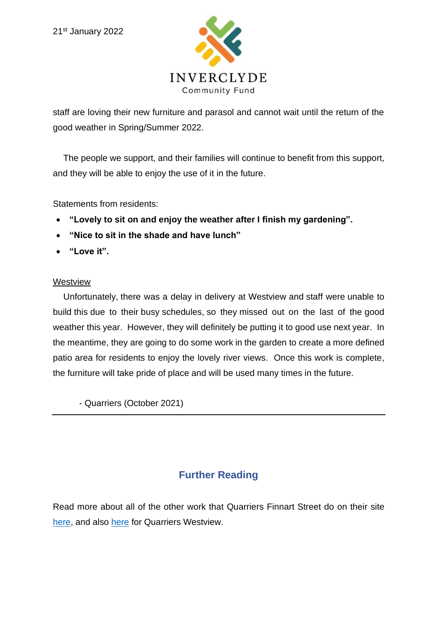

staff are loving their new furniture and parasol and cannot wait until the return of the good weather in Spring/Summer 2022.

The people we support, and their families will continue to benefit from this support, and they will be able to enjoy the use of it in the future.

Statements from residents:

- **"Lovely to sit on and enjoy the weather after I finish my gardening".**
- **"Nice to sit in the shade and have lunch"**
- **"Love it".**

#### Westview

Unfortunately, there was a delay in delivery at Westview and staff were unable to build this due to their busy schedules, so they missed out on the last of the good weather this year. However, they will definitely be putting it to good use next year. In the meantime, they are going to do some work in the garden to create a more defined patio area for residents to enjoy the lovely river views. Once this work is complete, the furniture will take pride of place and will be used many times in the future.

- Quarriers (October 2021)

# **Further Reading**

Read more about all of the other work that Quarriers Finnart Street do on their site [here,](https://www.google.com/url?sa=t&rct=j&q=&esrc=s&source=web&cd=&cad=rja&uact=8&ved=2ahUKEwjG_v343d71AhVyQkEAHfMvDfgQtwJ6BAgYEAM&url=https%3A%2F%2Fwww.quarriers.org.uk%2Fservices%2Ffinnart_street_residential_support%2F&usg=AOvVaw01yNfl1jlYL6bjv-jbGFsn) and also [here](https://www.google.com/url?sa=t&rct=j&q=&esrc=s&source=web&cd=&cad=rja&uact=8&ved=2ahUKEwjG_v343d71AhVyQkEAHfMvDfgQFnoECBoQAQ&url=https%3A%2F%2Fwww.quarriers.org.uk%2Fservices%2Fwestview-residential-support%2F&usg=AOvVaw02xNz27B7RLk-HIgN8I2P4) for Quarriers Westview.